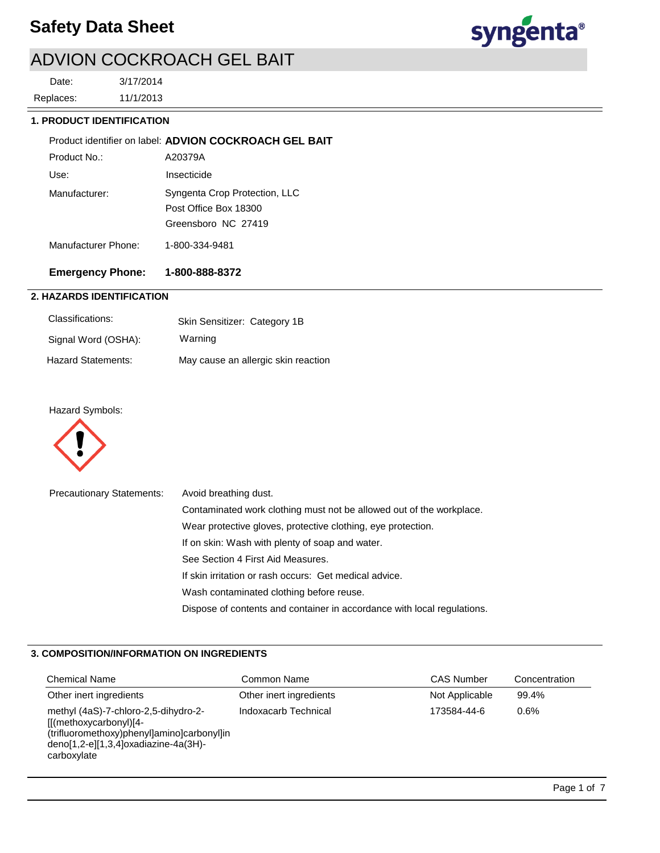

# ADVION COCKROACH GEL BAIT

11/1/2013 3/17/2014 Replaces: Date:

### **1. PRODUCT IDENTIFICATION**

|                     | Product identifier on label: ADVION COCKROACH GEL BAIT                        |
|---------------------|-------------------------------------------------------------------------------|
| Product No.:        | A20379A                                                                       |
| Use:                | Insecticide                                                                   |
| Manufacturer:       | Syngenta Crop Protection, LLC<br>Post Office Box 18300<br>Greensboro NC 27419 |
| Manufacturer Phone: | 1-800-334-9481                                                                |

# **Emergency Phone: 1-800-888-8372**

## **2. HAZARDS IDENTIFICATION**

| Classifications:          | Skin Sensitizer: Category 1B        |
|---------------------------|-------------------------------------|
| Signal Word (OSHA):       | Warning                             |
| <b>Hazard Statements:</b> | May cause an allergic skin reaction |

## Hazard Symbols:



| <b>Precautionary Statements:</b> | Avoid breathing dust.                                                   |
|----------------------------------|-------------------------------------------------------------------------|
|                                  | Contaminated work clothing must not be allowed out of the workplace.    |
|                                  | Wear protective gloves, protective clothing, eye protection.            |
|                                  | If on skin: Wash with plenty of soap and water.                         |
|                                  | See Section 4 First Aid Measures.                                       |
|                                  | If skin irritation or rash occurs: Get medical advice.                  |
|                                  | Wash contaminated clothing before reuse.                                |
|                                  | Dispose of contents and container in accordance with local regulations. |

## **3. COMPOSITION/INFORMATION ON INGREDIENTS**

| <b>Chemical Name</b>                                                                                                                                                   | Common Name             | <b>CAS Number</b> | Concentration |
|------------------------------------------------------------------------------------------------------------------------------------------------------------------------|-------------------------|-------------------|---------------|
| Other inert ingredients                                                                                                                                                | Other inert ingredients | Not Applicable    | 99.4%         |
| methyl (4aS)-7-chloro-2,5-dihydro-2-<br>[[(methoxycarbonyl)[4-<br>(trifluoromethoxy)phenyl]amino]carbonyl]in<br>$deno[1,2-e][1,3,4]$ oxadiazine-4a(3H)-<br>carboxylate | Indoxacarb Technical    | 173584-44-6       | 0.6%          |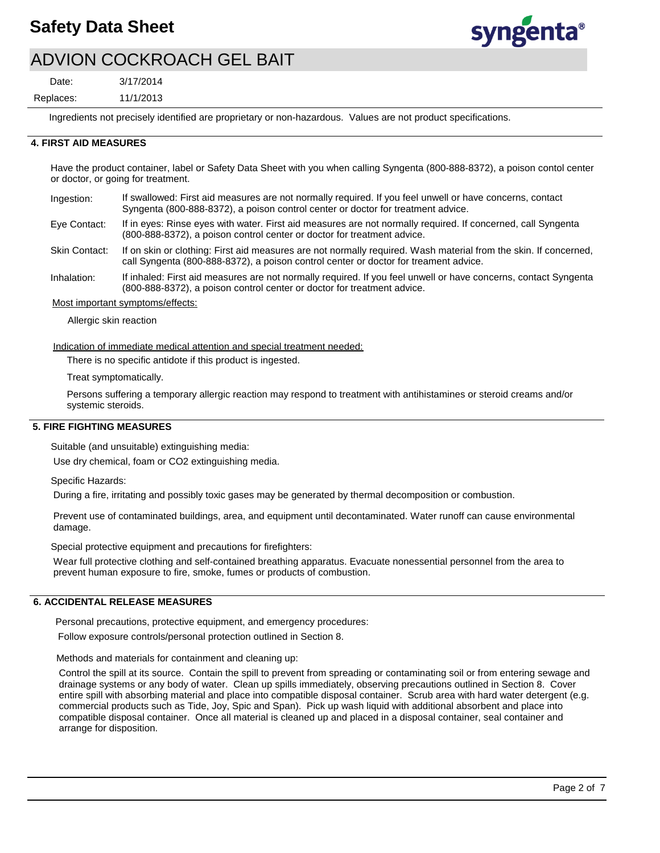

# ADVION COCKROACH GEL BAIT

3/17/2014 Date:

11/1/2013 Replaces:

Ingredients not precisely identified are proprietary or non-hazardous. Values are not product specifications.

### **4. FIRST AID MEASURES**

Have the product container, label or Safety Data Sheet with you when calling Syngenta (800-888-8372), a poison contol center or doctor, or going for treatment.

If swallowed: First aid measures are not normally required. If you feel unwell or have concerns, contact Syngenta (800-888-8372), a poison control center or doctor for treatment advice. Ingestion:

If in eyes: Rinse eyes with water. First aid measures are not normally required. If concerned, call Syngenta (800-888-8372), a poison control center or doctor for treatment advice. Eye Contact:

If on skin or clothing: First aid measures are not normally required. Wash material from the skin. If concerned, call Syngenta (800-888-8372), a poison control center or doctor for treament advice. Skin Contact:

If inhaled: First aid measures are not normally required. If you feel unwell or have concerns, contact Syngenta (800-888-8372), a poison control center or doctor for treatment advice. Inhalation:

Most important symptoms/effects:

Allergic skin reaction

Indication of immediate medical attention and special treatment needed:

There is no specific antidote if this product is ingested.

Treat symptomatically.

Persons suffering a temporary allergic reaction may respond to treatment with antihistamines or steroid creams and/or systemic steroids.

#### **5. FIRE FIGHTING MEASURES**

Suitable (and unsuitable) extinguishing media:

Use dry chemical, foam or CO2 extinguishing media.

Specific Hazards:

During a fire, irritating and possibly toxic gases may be generated by thermal decomposition or combustion.

Prevent use of contaminated buildings, area, and equipment until decontaminated. Water runoff can cause environmental damage.

Special protective equipment and precautions for firefighters:

Wear full protective clothing and self-contained breathing apparatus. Evacuate nonessential personnel from the area to prevent human exposure to fire, smoke, fumes or products of combustion.

## **6. ACCIDENTAL RELEASE MEASURES**

Personal precautions, protective equipment, and emergency procedures:

Follow exposure controls/personal protection outlined in Section 8.

Methods and materials for containment and cleaning up:

Control the spill at its source. Contain the spill to prevent from spreading or contaminating soil or from entering sewage and drainage systems or any body of water. Clean up spills immediately, observing precautions outlined in Section 8. Cover entire spill with absorbing material and place into compatible disposal container. Scrub area with hard water detergent (e.g. commercial products such as Tide, Joy, Spic and Span). Pick up wash liquid with additional absorbent and place into compatible disposal container. Once all material is cleaned up and placed in a disposal container, seal container and arrange for disposition.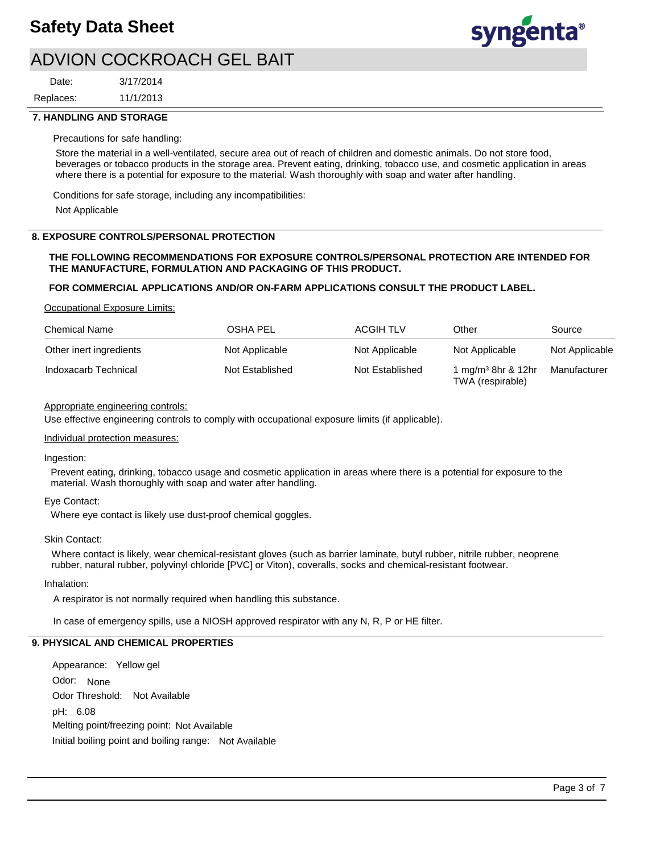

# ADVION COCKROACH GEL BAIT

11/1/2013 3/17/2014 Replaces: Date:

### **7. HANDLING AND STORAGE**

#### Precautions for safe handling:

Store the material in a well-ventilated, secure area out of reach of children and domestic animals. Do not store food, beverages or tobacco products in the storage area. Prevent eating, drinking, tobacco use, and cosmetic application in areas where there is a potential for exposure to the material. Wash thoroughly with soap and water after handling.

Conditions for safe storage, including any incompatibilities:

Not Applicable

### **8. EXPOSURE CONTROLS/PERSONAL PROTECTION**

### **THE FOLLOWING RECOMMENDATIONS FOR EXPOSURE CONTROLS/PERSONAL PROTECTION ARE INTENDED FOR THE MANUFACTURE, FORMULATION AND PACKAGING OF THIS PRODUCT.**

#### **FOR COMMERCIAL APPLICATIONS AND/OR ON-FARM APPLICATIONS CONSULT THE PRODUCT LABEL.**

Occupational Exposure Limits:

| <b>Chemical Name</b>    | OSHA PEL        | ACGIH TLV       | Other                                              | Source         |
|-------------------------|-----------------|-----------------|----------------------------------------------------|----------------|
| Other inert ingredients | Not Applicable  | Not Applicable  | Not Applicable                                     | Not Applicable |
| Indoxacarb Technical    | Not Established | Not Established | 1 mg/m <sup>3</sup> 8hr & 12hr<br>TWA (respirable) | Manufacturer   |

### Appropriate engineering controls:

Use effective engineering controls to comply with occupational exposure limits (if applicable).

#### Individual protection measures:

#### Ingestion:

Prevent eating, drinking, tobacco usage and cosmetic application in areas where there is a potential for exposure to the material. Wash thoroughly with soap and water after handling.

#### Eye Contact:

Where eye contact is likely use dust-proof chemical goggles.

#### Skin Contact:

Where contact is likely, wear chemical-resistant gloves (such as barrier laminate, butyl rubber, nitrile rubber, neoprene rubber, natural rubber, polyvinyl chloride [PVC] or Viton), coveralls, socks and chemical-resistant footwear.

#### Inhalation:

A respirator is not normally required when handling this substance.

In case of emergency spills, use a NIOSH approved respirator with any N, R, P or HE filter.

## **9. PHYSICAL AND CHEMICAL PROPERTIES**

Odor: None Appearance: Yellow gel pH: 6.08 Initial boiling point and boiling range: Not Available Melting point/freezing point: Not Available Odor Threshold: Not Available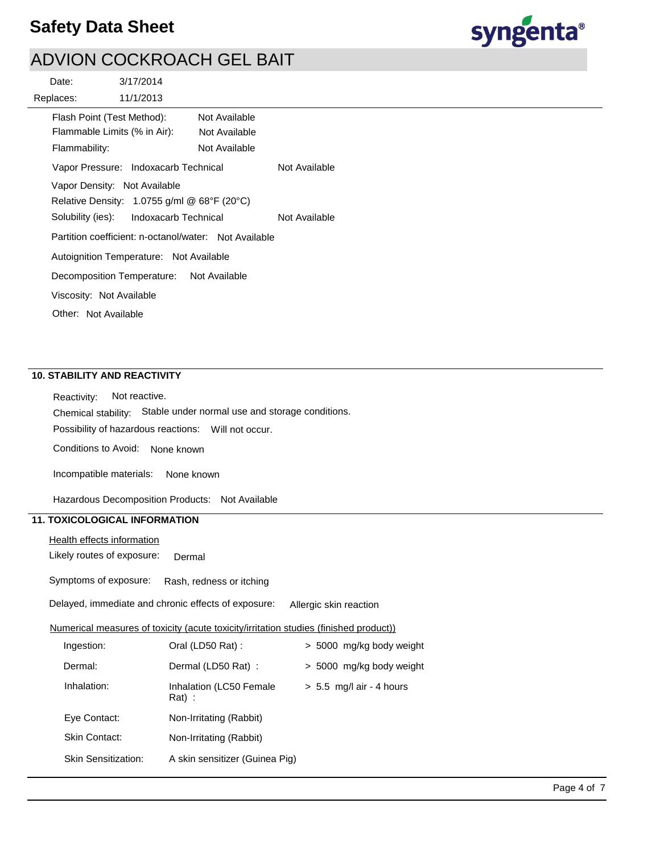

# ADVION COCKROACH GEL BAIT

| Date:                                                                       | 3/17/2014                                                                               |                                                       |               |
|-----------------------------------------------------------------------------|-----------------------------------------------------------------------------------------|-------------------------------------------------------|---------------|
| Replaces:                                                                   | 11/1/2013                                                                               |                                                       |               |
| Flash Point (Test Method):<br>Flammable Limits (% in Air):<br>Flammability: | Vapor Pressure: Indoxacarb Technical<br>Vapor Density: Not Available                    | Not Available<br>Not Available<br>Not Available       | Not Available |
|                                                                             | Relative Density: $1.0755$ g/ml @ 68°F (20°C)<br>Solubility (ies): Indoxacarb Technical | Partition coefficient: n-octanol/water: Not Available | Not Available |
| Viscosity: Not Available                                                    | Autoignition Temperature: Not Available<br>Decomposition Temperature: Not Available     |                                                       |               |
| Other: Not Available                                                        |                                                                                         |                                                       |               |

## **10. STABILITY AND REACTIVITY**

Possibility of hazardous reactions: Will not occur. Chemical stability: Stable under normal use and storage conditions. Reactivity: Not reactive. Conditions to Avoid: None known

Incompatible materials: None known

Hazardous Decomposition Products: Not Available

# **11. TOXICOLOGICAL INFORMATION**

Likely routes of exposure: Health effects information Dermal

Symptoms of exposure: Rash, redness or itching

Delayed, immediate and chronic effects of exposure: Allergic skin reaction

#### Numerical measures of toxicity (acute toxicity/irritation studies (finished product))

| Ingestion:                 | Oral (LD50 Rat):                    | > 5000 mg/kg body weight   |
|----------------------------|-------------------------------------|----------------------------|
| Dermal:                    | Dermal (LD50 Rat) :                 | > 5000 mg/kg body weight   |
| Inhalation:                | Inhalation (LC50 Female<br>$Rat)$ : | $> 5.5$ mg/l air - 4 hours |
| Eye Contact:               | Non-Irritating (Rabbit)             |                            |
| <b>Skin Contact:</b>       | Non-Irritating (Rabbit)             |                            |
| <b>Skin Sensitization:</b> | A skin sensitizer (Guinea Pig)      |                            |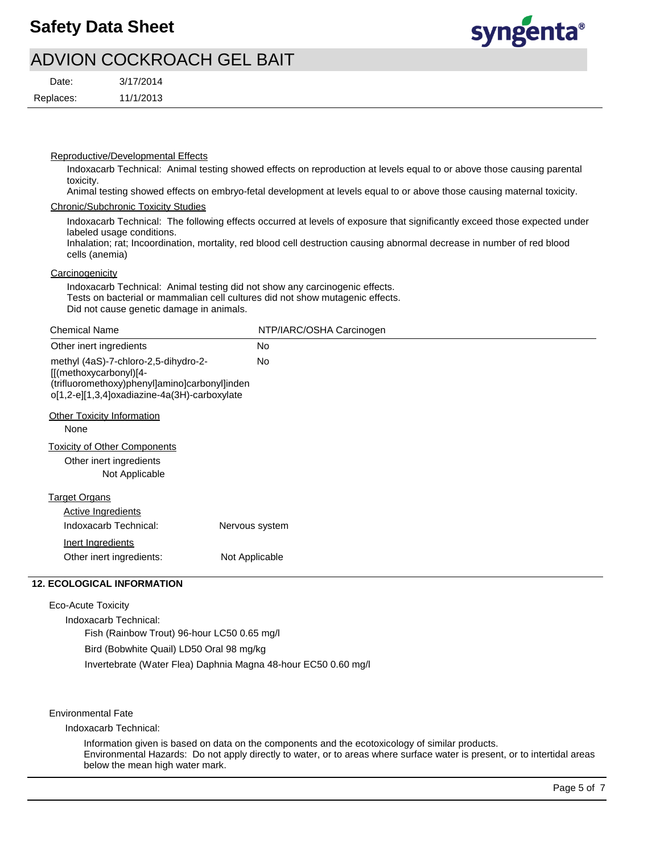

# ADVION COCKROACH GEL BAIT

| Date:     | 3/17/2014 |
|-----------|-----------|
| Replaces: | 11/1/2013 |

Reproductive/Developmental Effects

Indoxacarb Technical: Animal testing showed effects on reproduction at levels equal to or above those causing parental toxicity.

Animal testing showed effects on embryo-fetal development at levels equal to or above those causing maternal toxicity.

#### Chronic/Subchronic Toxicity Studies

Indoxacarb Technical: The following effects occurred at levels of exposure that significantly exceed those expected under labeled usage conditions.

Inhalation; rat; Incoordination, mortality, red blood cell destruction causing abnormal decrease in number of red blood cells (anemia)

### **Carcinogenicity**

Indoxacarb Technical: Animal testing did not show any carcinogenic effects. Tests on bacterial or mammalian cell cultures did not show mutagenic effects. Did not cause genetic damage in animals.

| <b>Chemical Name</b>                                                                                                                                                     | NTP/IARC/OSHA Carcinogen |
|--------------------------------------------------------------------------------------------------------------------------------------------------------------------------|--------------------------|
| Other inert ingredients                                                                                                                                                  | No                       |
| methyl (4aS)-7-chloro-2,5-dihydro-2-<br>$[(\text{methoxycarbonyl})[4 -$<br>(trifluoromethoxy)phenyl]amino]carbonyl]inden<br>o[1,2-e][1,3,4]oxadiazine-4a(3H)-carboxylate | No                       |
| <b>Other Toxicity Information</b><br>None                                                                                                                                |                          |
| <b>Toxicity of Other Components</b><br>Other inert ingredients<br>Not Applicable                                                                                         |                          |
| <b>Target Organs</b><br><b>Active Ingredients</b>                                                                                                                        |                          |
| Indoxacarb Technical:                                                                                                                                                    | Nervous system           |
| Inert Ingredients<br>Other inert ingredients:                                                                                                                            | Not Applicable           |

## **12. ECOLOGICAL INFORMATION**

Eco-Acute Toxicity

Indoxacarb Technical: Fish (Rainbow Trout) 96-hour LC50 0.65 mg/l Bird (Bobwhite Quail) LD50 Oral 98 mg/kg Invertebrate (Water Flea) Daphnia Magna 48-hour EC50 0.60 mg/l

Environmental Fate

Indoxacarb Technical:

Information given is based on data on the components and the ecotoxicology of similar products. Environmental Hazards: Do not apply directly to water, or to areas where surface water is present, or to intertidal areas below the mean high water mark.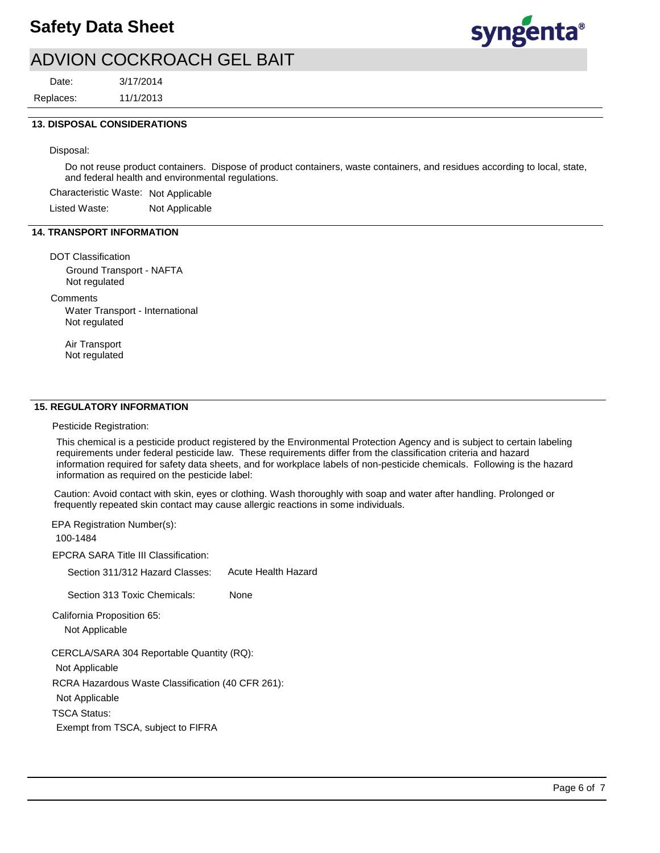

# ADVION COCKROACH GEL BAIT

Replaces: Date:

11/1/2013 3/17/2014

### **13. DISPOSAL CONSIDERATIONS**

Disposal:

Do not reuse product containers. Dispose of product containers, waste containers, and residues according to local, state, and federal health and environmental regulations.

Characteristic Waste: Not Applicable

Listed Waste: Not Applicable

## **14. TRANSPORT INFORMATION**

DOT Classification

Ground Transport - NAFTA Not regulated

**Comments** 

Water Transport - International Not regulated

Air Transport Not regulated

### **15. REGULATORY INFORMATION**

Pesticide Registration:

This chemical is a pesticide product registered by the Environmental Protection Agency and is subject to certain labeling requirements under federal pesticide law. These requirements differ from the classification criteria and hazard information required for safety data sheets, and for workplace labels of non-pesticide chemicals. Following is the hazard information as required on the pesticide label:

Caution: Avoid contact with skin, eyes or clothing. Wash thoroughly with soap and water after handling. Prolonged or frequently repeated skin contact may cause allergic reactions in some individuals.

EPCRA SARA Title III Classification: EPA Registration Number(s): 100-1484

Section 311/312 Hazard Classes: Acute Health Hazard

Section 313 Toxic Chemicals: None

California Proposition 65:

Not Applicable

CERCLA/SARA 304 Reportable Quantity (RQ):

Not Applicable

RCRA Hazardous Waste Classification (40 CFR 261):

Not Applicable

TSCA Status:

Exempt from TSCA, subject to FIFRA